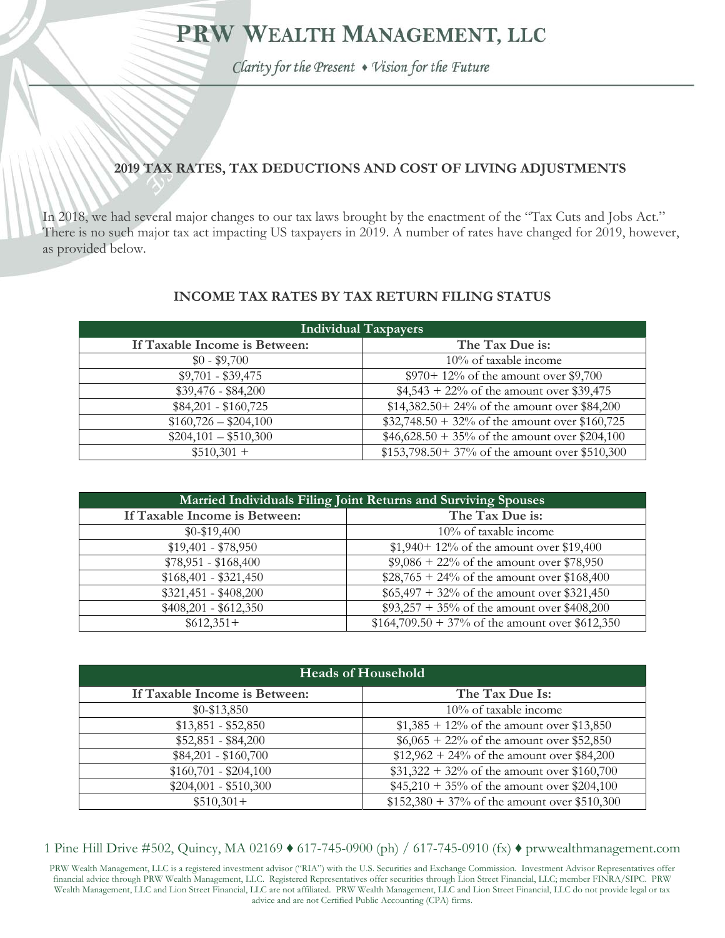# PRW WEALTH MANAGEMENT, LLC

Clarity for the Present . Vision for the Future

# **2019 TAX RATES, TAX DEDUCTIONS AND COST OF LIVING ADJUSTMENTS**

In 2018, we had several major changes to our tax laws brought by the enactment of the "Tax Cuts and Jobs Act." There is no such major tax act impacting US taxpayers in 2019. A number of rates have changed for 2019, however, as provided below.

#### **INCOME TAX RATES BY TAX RETURN FILING STATUS**

| <b>Individual Taxpayers</b>   |                                                  |
|-------------------------------|--------------------------------------------------|
| If Taxable Income is Between: | The Tax Due is:                                  |
| $$0 - $9,700$                 | $10\%$ of taxable income                         |
| $$9,701 - $39,475$            | $$970+12\%$ of the amount over \$9,700           |
| $$39,476 - $84,200$           | $$4,543 + 22\%$ of the amount over \$39,475      |
| $$84,201 - $160,725$          | \$14,382.50+24% of the amount over \$84,200      |
| $$160,726 - $204,100$         | $$32,748.50 + 32\%$ of the amount over \$160,725 |
| $$204,101 - $510,300$         | $$46,628.50 + 35\%$ of the amount over \$204,100 |
| $$510,301 +$                  | \$153,798.50+37% of the amount over \$510,300    |

| Married Individuals Filing Joint Returns and Surviving Spouses |                                                   |  |
|----------------------------------------------------------------|---------------------------------------------------|--|
| If Taxable Income is Between:                                  | The Tax Due is:                                   |  |
| $$0-$19,400$                                                   | $10\%$ of taxable income                          |  |
| $$19,401 - $78,950$                                            | $$1,940+12\%$ of the amount over \$19,400         |  |
| $$78,951 - $168,400$                                           | $$9,086 + 22\%$ of the amount over \$78,950       |  |
| $$168,401 - $321,450$                                          | $$28,765 + 24\%$ of the amount over \$168,400     |  |
| $$321,451 - $408,200$                                          | $$65,497 + 32\%$ of the amount over \$321,450     |  |
| $$408,201 - $612,350$                                          | $$93,257 + 35\%$ of the amount over \$408,200     |  |
| $$612,351+$                                                    | $$164,709.50 + 37\%$ of the amount over \$612,350 |  |

| <b>Heads of Household</b>     |                                                |
|-------------------------------|------------------------------------------------|
| If Taxable Income is Between: | The Tax Due Is:                                |
| $$0-$13,850$                  | 10% of taxable income                          |
| $$13,851 - $52,850$           | $$1,385 + 12\%$ of the amount over \$13,850    |
| $$52,851 - $84,200$           | $$6,065 + 22\%$ of the amount over \$52,850    |
| $$84,201 - $160,700$          | $$12,962 + 24\%$ of the amount over \$84,200   |
| $$160,701 - $204,100$         | $$31,322 + 32\%$ of the amount over \$160,700  |
| $$204,001 - $510,300$         | $$45,210 + 35\%$ of the amount over \$204,100  |
| $$510,301+$                   | $$152,380 + 37\%$ of the amount over \$510,300 |

1 Pine Hill Drive #502, Quincy, MA 02169 ♦ 617-745-0900 (ph) / 617-745-0910 (fx) ♦ prwwealthmanagement.com

PRW Wealth Management, LLC is a registered investment advisor ("RIA") with the U.S. Securities and Exchange Commission. Investment Advisor Representatives offer financial advice through PRW Wealth Management, LLC. Registered Representatives offer securities through Lion Street Financial, LLC; member FINRA/SIPC. PRW Wealth Management, LLC and Lion Street Financial, LLC are not affiliated. PRW Wealth Management, LLC and Lion Street Financial, LLC do not provide legal or tax advice and are not Certified Public Accounting (CPA) firms.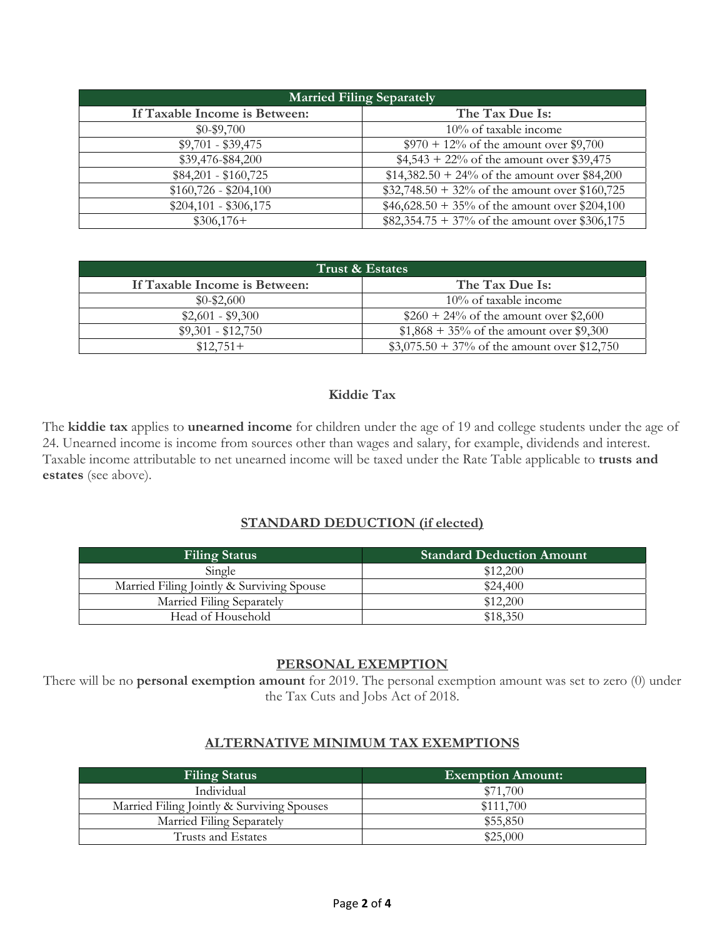| <b>Married Filing Separately</b> |                                                  |
|----------------------------------|--------------------------------------------------|
| If Taxable Income is Between:    | The Tax Due Is:                                  |
| $$0 - $9,700$                    | 10% of taxable income                            |
| $$9,701 - $39,475$               | $$970 + 12\%$ of the amount over \$9,700         |
| \$39,476-\$84,200                | $$4,543 + 22\%$ of the amount over \$39,475      |
| $$84,201 - $160,725$             | $$14,382.50 + 24\%$ of the amount over \$84,200  |
| $$160,726 - $204,100$            | $$32,748.50 + 32\%$ of the amount over \$160,725 |
| $$204,101 - $306,175$            | $$46,628.50 + 35\%$ of the amount over \$204,100 |
| $$306,176+$                      | $$82,354.75 + 37\%$ of the amount over \$306,175 |

| Trust & Estates               |                                                |  |
|-------------------------------|------------------------------------------------|--|
| If Taxable Income is Between: | The Tax Due Is:                                |  |
| $$0-$2,600$                   | $10\%$ of taxable income                       |  |
| $$2,601 - $9,300$             | $$260 + 24\%$ of the amount over \$2,600       |  |
| $$9,301 - $12,750$            | $$1,868 + 35\%$ of the amount over \$9,300     |  |
| $$12,751+$                    | $$3,075.50 + 37\%$ of the amount over \$12,750 |  |

#### **Kiddie Tax**

The **kiddie tax** applies to **unearned income** for children under the age of 19 and college students under the age of 24. Unearned income is income from sources other than wages and salary, for example, dividends and interest. Taxable income attributable to net unearned income will be taxed under the Rate Table applicable to **trusts and estates** (see above).

#### **STANDARD DEDUCTION (if elected)**

| <b>Filing Status</b>                      | <b>Standard Deduction Amount</b> |
|-------------------------------------------|----------------------------------|
| Single                                    | \$12,200                         |
| Married Filing Jointly & Surviving Spouse | \$24,400                         |
| Married Filing Separately                 | \$12,200                         |
| Head of Household                         | \$18,350                         |

## **PERSONAL EXEMPTION**

There will be no **personal exemption amount** for 2019. The personal exemption amount was set to zero (0) under the Tax Cuts and Jobs Act of 2018.

#### **ALTERNATIVE MINIMUM TAX EXEMPTIONS**

| <b>Filing Status</b>                       | <b>Exemption Amount:</b> |
|--------------------------------------------|--------------------------|
| Individual                                 | \$71,700                 |
| Married Filing Jointly & Surviving Spouses | \$111,700                |
| Married Filing Separately                  | \$55,850                 |
| Trusts and Estates                         | \$25,000                 |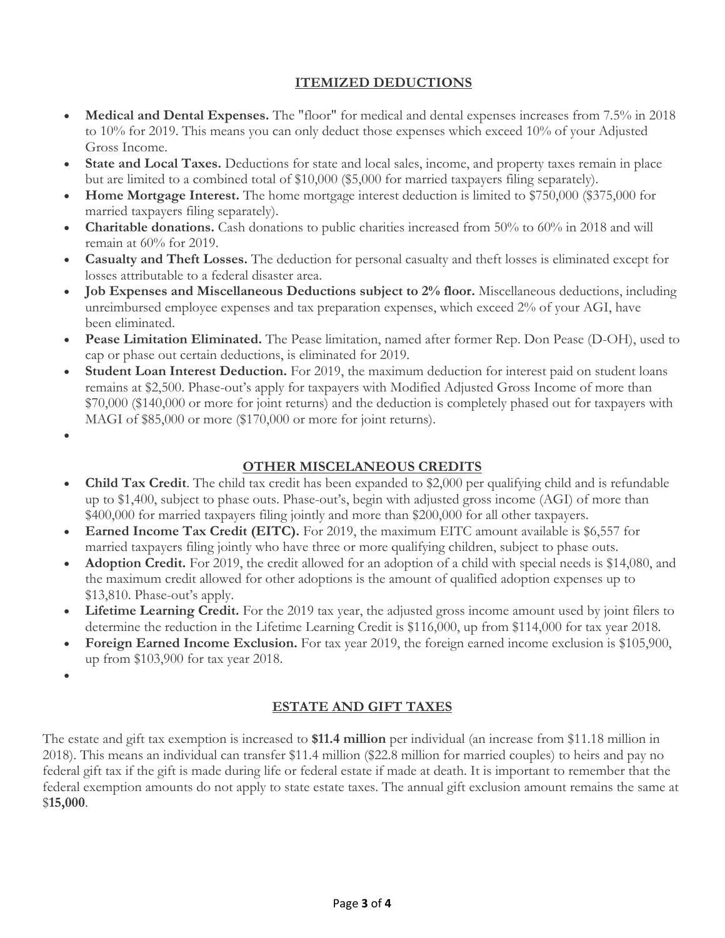# **ITEMIZED DEDUCTIONS**

- **Medical and Dental Expenses.** The "floor" for medical and dental expenses increases from 7.5% in 2018 to 10% for 2019. This means you can only deduct those expenses which exceed 10% of your Adjusted Gross Income.
- **State and Local Taxes.** Deductions for state and local sales, income, and property taxes remain in place but are limited to a combined total of \$10,000 (\$5,000 for married taxpayers filing separately).
- **Home Mortgage Interest.** The home mortgage interest deduction is limited to \$750,000 (\$375,000 for married taxpayers filing separately).
- **Charitable donations.** Cash donations to public charities increased from 50% to 60% in 2018 and will remain at 60% for 2019.
- **Casualty and Theft Losses.** The deduction for personal casualty and theft losses is eliminated except for losses attributable to a federal disaster area.
- **Job Expenses and Miscellaneous Deductions subject to 2% floor.** Miscellaneous deductions, including unreimbursed employee expenses and tax preparation expenses, which exceed 2% of your AGI, have been eliminated.
- **Pease Limitation Eliminated.** The Pease limitation, named after former Rep. Don Pease (D-OH), used to cap or phase out certain deductions, is eliminated for 2019.
- **Student Loan Interest Deduction.** For 2019, the maximum deduction for interest paid on student loans remains at \$2,500. Phase-out's apply for taxpayers with Modified Adjusted Gross Income of more than \$70,000 (\$140,000 or more for joint returns) and the deduction is completely phased out for taxpayers with MAGI of \$85,000 or more (\$170,000 or more for joint returns).
- $\bullet$

# **OTHER MISCELANEOUS CREDITS**

- **Child Tax Credit**. The child tax credit has been expanded to \$2,000 per qualifying child and is refundable up to \$1,400, subject to phase outs. Phase-out's, begin with adjusted gross income (AGI) of more than \$400,000 for married taxpayers filing jointly and more than \$200,000 for all other taxpayers.
- Earned Income Tax Credit (EITC). For 2019, the maximum EITC amount available is \$6,557 for married taxpayers filing jointly who have three or more qualifying children, subject to phase outs.
- **Adoption Credit.** For 2019, the credit allowed for an adoption of a child with special needs is \$14,080, and the maximum credit allowed for other adoptions is the amount of qualified adoption expenses up to \$13,810. Phase-out's apply.
- **Lifetime Learning Credit.** For the 2019 tax year, the adjusted gross income amount used by joint filers to determine the reduction in the Lifetime Learning Credit is \$116,000, up from \$114,000 for tax year 2018.
- **Foreign Earned Income Exclusion.** For tax year 2019, the foreign earned income exclusion is \$105,900, up from \$103,900 for tax year 2018.
- $\bullet$

## **ESTATE AND GIFT TAXES**

The estate and gift tax exemption is increased to **\$11.4 million** per individual (an increase from \$11.18 million in 2018). This means an individual can transfer \$11.4 million (\$22.8 million for married couples) to heirs and pay no federal gift tax if the gift is made during life or federal estate if made at death. It is important to remember that the federal exemption amounts do not apply to state estate taxes. The annual gift exclusion amount remains the same at \$**15,000**.